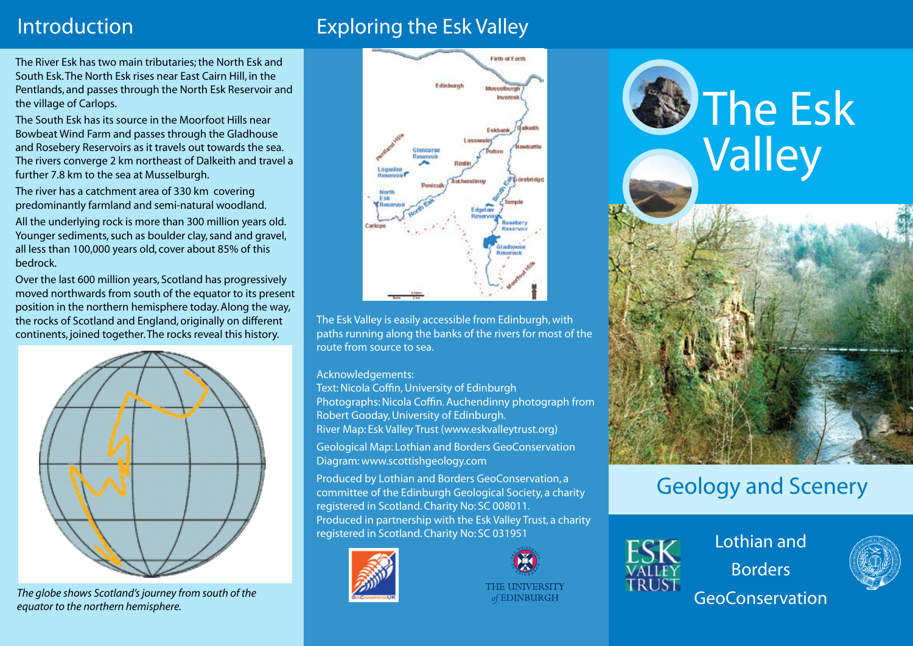# Introduction Exploring the Esk Valley

The River Esk has two main tributaries; the North Esk and South Esk. The North Esk rises near East Cairn Hill, in the Pentlands, and passes through the North Esk Reservoir and the village of Carlops.

The South Esk has its source in the Moorfoot Hills near Bowbeat Wind Farm and passes through the Gladhouse and Rosebery Reservoirs as it travels out towards the sea. The rivers converge 2 km northeast of Dalkeith and travel a further 7.8 km to the sea at Musselburgh.

The river has a catchment area of 330 km covering predominantly farmland and semi-natural woodland.

All the underlying rock is more than 300 million years old. Younger sediments, such as boulder clay, sand and gravel, all less than 100,000 years old, cover about 85% of this bedrock.

Over the last 600 million years, Scotland has progressively moved northwards from south of the equator to its present position in the northern hemisphere today. Along the way, the rocks of Scotland and England, originally on different continents, joined together. The rocks reveal this history.



*The globe shows Scotland's journey from south of the equator to the northern hemisphere.*



The Esk Valley is easily accessible from Edinburgh, with paths running along the banks of the rivers for most of the route from source to sea.

Acknowledgements:

Text: Nicola Coffin, University of Edinburgh Photographs: Nicola Coffin. Auchendinny photograph from Robert Gooday, University of Edinburgh. River Map: Esk Valley Trust (www.eskvalleytrust.org)

Geological Map: Lothian and Borders GeoConservation Diagram: www.scottishgeology.com

Produced by Lothian and Borders GeoConservation, a committee of the Edinburgh Geological Society, a charity registered in Scotland. Charity No: SC 008011. Produced in partnership with the Esk Valley Trust, a charity registered in Scotland. Charity No: SC 031951





THE UNIVERSITY of EDINBURGH





# Geology and Scenery



Lothian and Borders GeoConservation

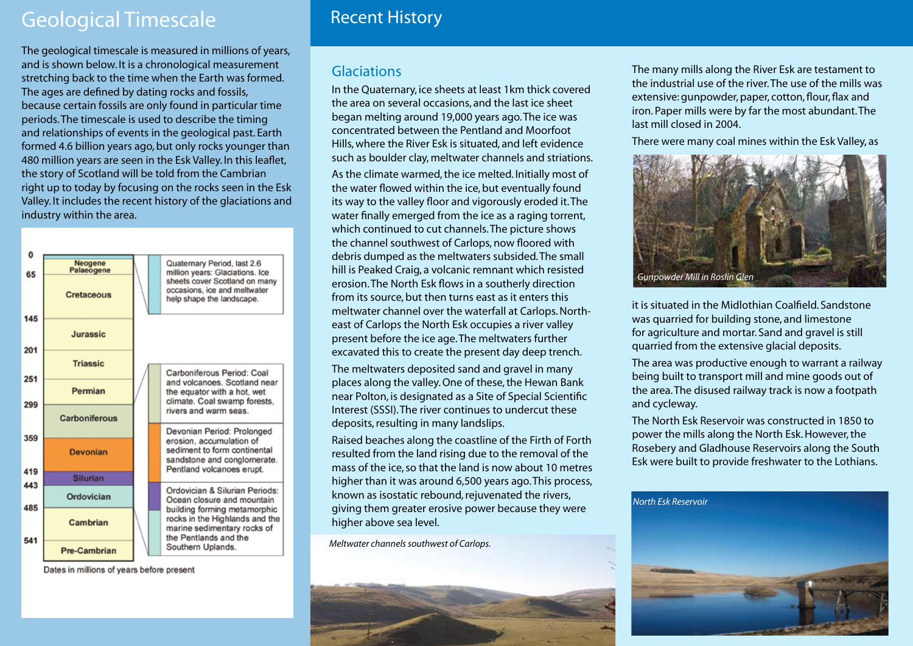### Geological Timescale

The geological timescale is measured in millions of years, and is shown below. It is a chronological measurement stretching back to the time when the Earth was formed. The ages are defined by dating rocks and fossils, because certain fossils are only found in particular time periods. The timescale is used to describe the timing and relationships of events in the geological past. Earth formed 4.6 billion years ago, but only rocks younger than 480 million years are seen in the Esk Valley. In this leaflet, the story of Scotland will be told from the Cambrian right up to today by focusing on the rocks seen in the Esk Valley. It includes the recent history of the glaciations and industry within the area.



Dates in millions of years before present

### Recent History

#### Glaciations

In the Quaternary, ice sheets at least 1km thick covered the area on several occasions, and the last ice sheet began melting around 19,000 years ago. The ice was concentrated between the Pentland and Moorfoot Hills, where the River Esk is situated, and left evidence such as boulder clay, meltwater channels and striations. As the climate warmed, the ice melted. Initially most of the water flowed within the ice, but eventually found its way to the valley floor and vigorously eroded it. The water finally emerged from the ice as a raging torrent, which continued to cut channels. The picture shows the channel southwest of Carlops, now floored with debris dumped as the meltwaters subsided. The small hill is Peaked Craig, a volcanic remnant which resisted erosion. The North Esk flows in a southerly direction from its source, but then turns east as it enters this meltwater channel over the waterfall at Carlops. Northeast of Carlops the North Esk occupies a river valley present before the ice age. The meltwaters further excavated this to create the present day deep trench.

The meltwaters deposited sand and gravel in many places along the valley. One of these, the Hewan Bank near Polton, is designated as a Site of Special Scientific Interest (SSSI). The river continues to undercut these deposits, resulting in many landslips.

Raised beaches along the coastline of the Firth of Forth resulted from the land rising due to the removal of the mass of the ice, so that the land is now about 10 metres higher than it was around 6,500 years ago. This process, known as isostatic rebound, rejuvenated the rivers, giving them greater erosive power because they were higher above sea level.

*Meltwater channels southwest of Carlops.*



The many mills along the River Esk are testament to the industrial use of the river. The use of the mills was extensive: gunpowder, paper, cotton, flour, flax and iron. Paper mills were by far the most abundant. The last mill closed in 2004.

There were many coal mines within the Esk Valley, as



it is situated in the Midlothian Coalfield. Sandstone was quarried for building stone, and limestone for agriculture and mortar. Sand and gravel is still quarried from the extensive glacial deposits.

The area was productive enough to warrant a railway being built to transport mill and mine goods out of the area. The disused railway track is now a footpath and cycleway.

The North Esk Reservoir was constructed in 1850 to power the mills along the North Esk. However, the Rosebery and Gladhouse Reservoirs along the South Esk were built to provide freshwater to the Lothians.

#### *North Esk Reservoir*

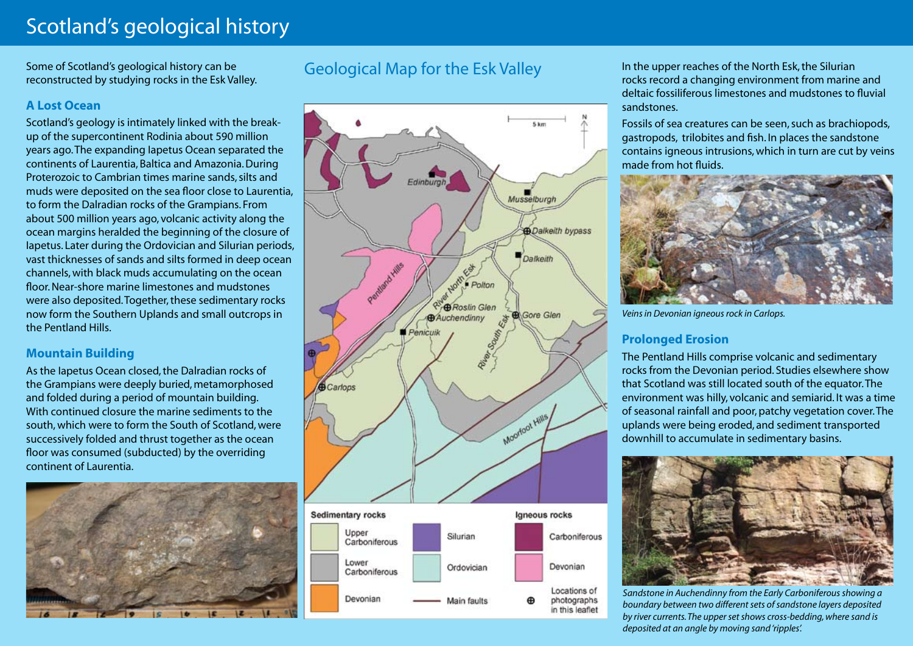## Scotland's geological history

Some of Scotland's geological history can be reconstructed by studying rocks in the Esk Valley.

#### **A Lost Ocean**

Scotland's geology is intimately linked with the breakup of the supercontinent Rodinia about 590 million years ago. The expanding Iapetus Ocean separated the continents of Laurentia, Baltica and Amazonia. During Proterozoic to Cambrian times marine sands, silts and muds were deposited on the sea floor close to Laurentia, to form the Dalradian rocks of the Grampians. From about 500 million years ago, volcanic activity along the ocean margins heralded the beginning of the closure of Iapetus. Later during the Ordovician and Silurian periods, vast thicknesses of sands and silts formed in deep ocean channels, with black muds accumulating on the ocean floor. Near-shore marine limestones and mudstones were also deposited. Together, these sedimentary rocks now form the Southern Uplands and small outcrops in the Pentland Hills.

#### **Mountain Building**

As the Iapetus Ocean closed, the Dalradian rocks of the Grampians were deeply buried, metamorphosed and folded during a period of mountain building. With continued closure the marine sediments to the south, which were to form the South of Scotland, were successively folded and thrust together as the ocean floor was consumed (subducted) by the overriding continent of Laurentia.



### Geological Map for the Esk Valley



In the upper reaches of the North Esk, the Silurian rocks record a changing environment from marine and deltaic fossiliferous limestones and mudstones to fluvial sandstones.

Fossils of sea creatures can be seen, such as brachiopods, gastropods, trilobites and fish. In places the sandstone contains igneous intrusions, which in turn are cut by veins made from hot fluids.



*Veins in Devonian igneous rock in Carlops.*

#### **Prolonged Erosion**

The Pentland Hills comprise volcanic and sedimentary rocks from the Devonian period. Studies elsewhere show that Scotland was still located south of the equator. The environment was hilly, volcanic and semiarid. It was a time of seasonal rainfall and poor, patchy vegetation cover. The uplands were being eroded, and sediment transported downhill to accumulate in sedimentary basins.



*Sandstone in Auchendinny from the Early Carboniferous showing a boundary between two different sets of sandstone layers deposited by river currents. The upper set shows cross-bedding, where sand is deposited at an angle by moving sand 'ripples'.*